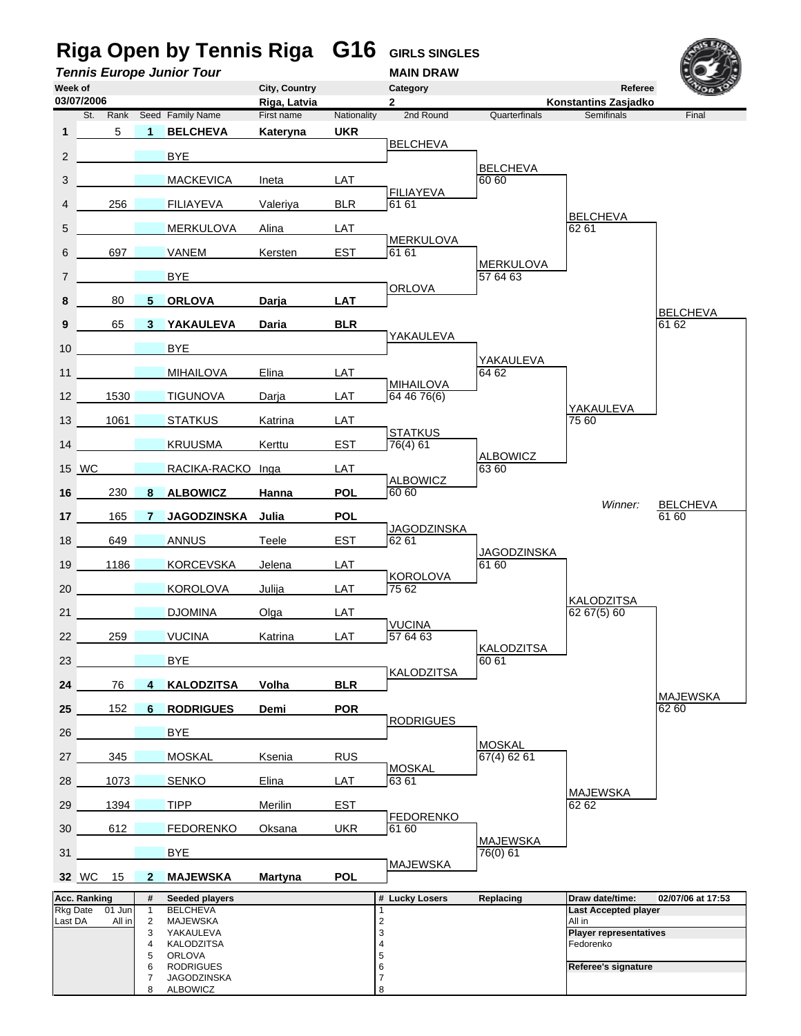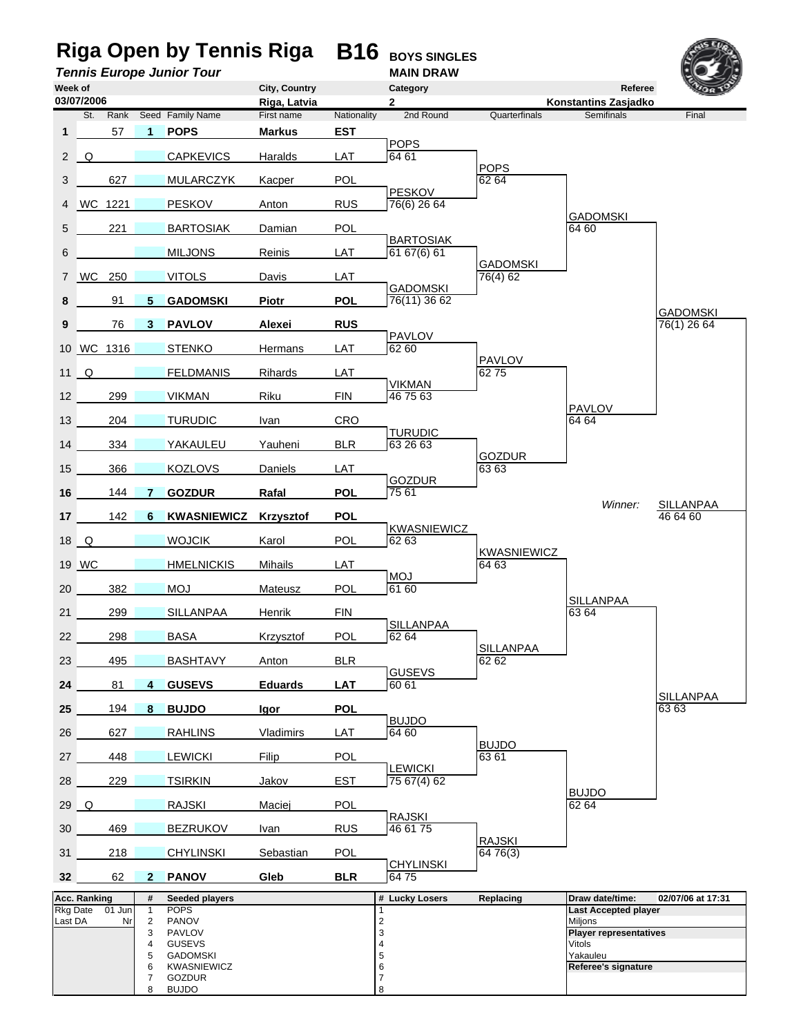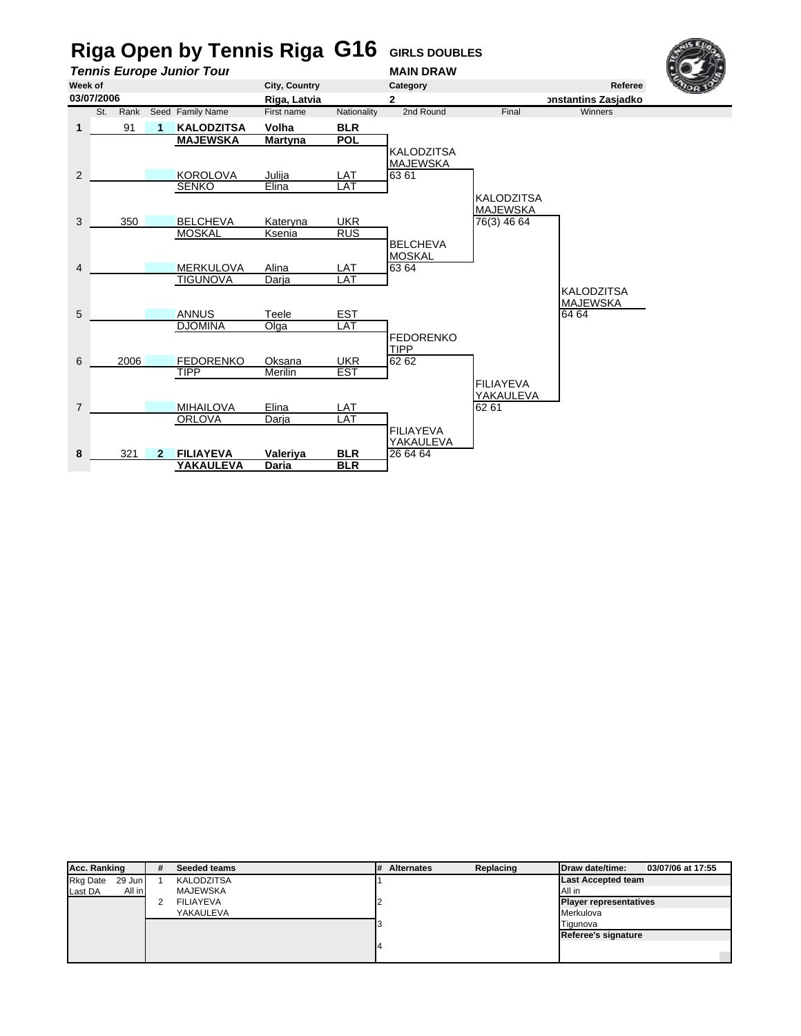

| <b>Acc. Ranking</b>       | # | Seeded teams      | ,# | <b>Alternates</b> | Replacing | Draw date/time:               | 03/07/06 at 17:55 |
|---------------------------|---|-------------------|----|-------------------|-----------|-------------------------------|-------------------|
| <b>Rkg Date</b><br>29 Jun |   | <b>KALODZITSA</b> |    |                   |           | <b>Last Accepted team</b>     |                   |
| Last DA<br>All in         |   | <b>MAJEWSKA</b>   |    |                   |           | All in                        |                   |
|                           |   | <b>FILIAYEVA</b>  |    |                   |           | <b>Player representatives</b> |                   |
|                           |   | YAKAULEVA         |    |                   |           | Merkulova                     |                   |
|                           |   |                   |    |                   |           | Tigunova                      |                   |
|                           |   |                   |    |                   |           | Referee's signature           |                   |
|                           |   |                   |    |                   |           |                               |                   |
|                           |   |                   |    |                   |           |                               |                   |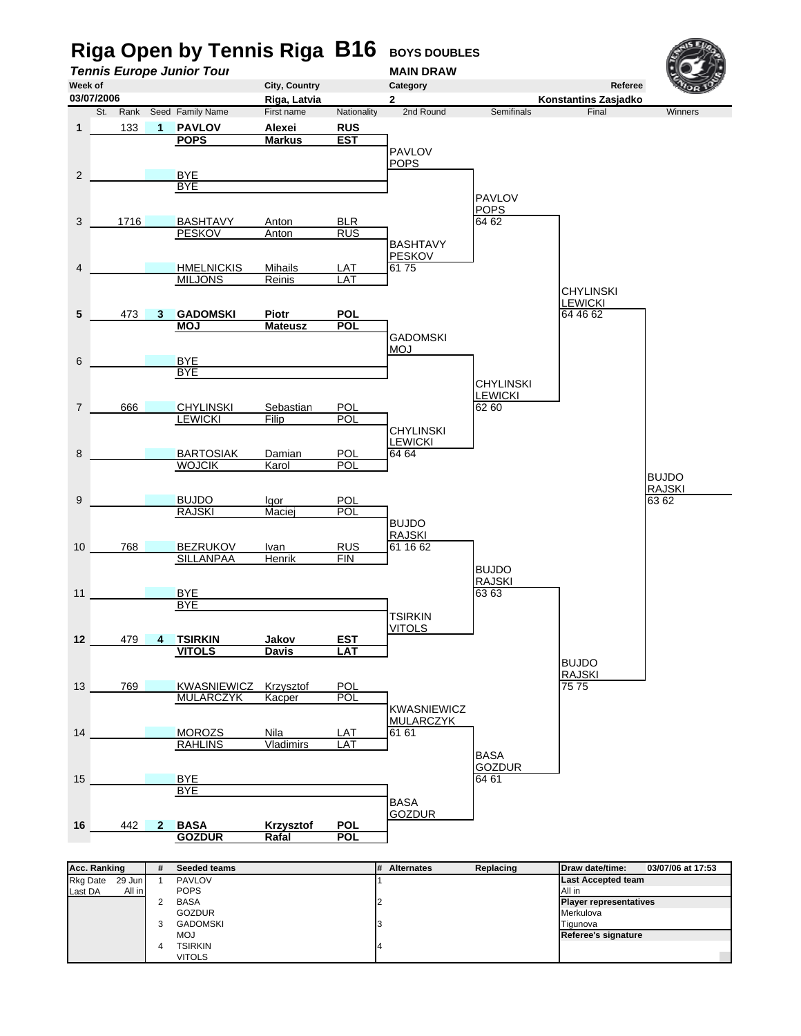